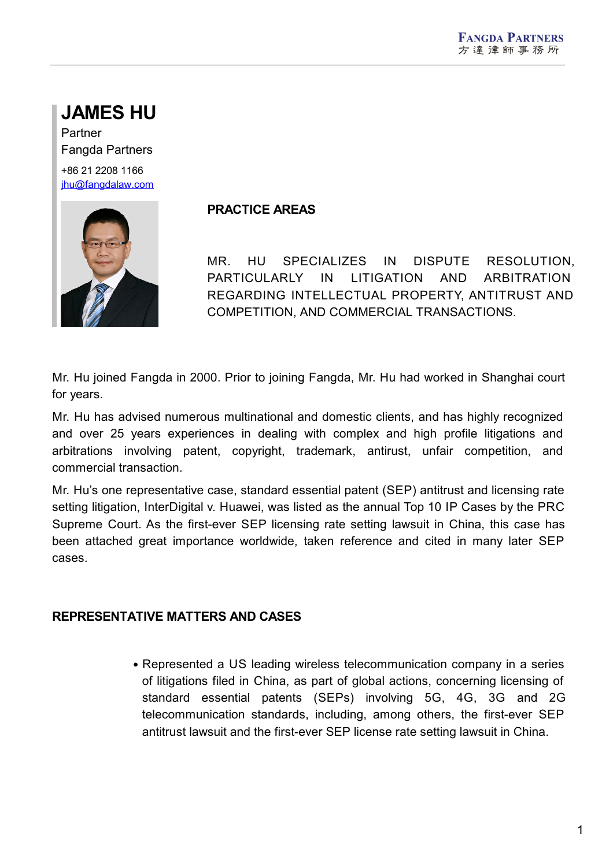# **JAMES HU**

Partner Fangda Partners +86 21 2208 1166 [jhu@fangdalaw.com](mailto:jhu@fangdalaw.com)



## **PRACTICE AREAS**

MR. HU SPECIALIZES IN DISPUTE RESOLUTION, PARTICULARLY IN LITIGATION AND ARBITRATION REGARDING INTELLECTUAL PROPERTY, ANTITRUST AND COMPETITION, AND COMMERCIAL TRANSACTIONS.

Mr. Hu joined Fangda in 2000. Prior to joining Fangda, Mr. Hu had worked in Shanghai court for years.

Mr. Hu has advised numerous multinational and domestic clients, and has highly recognized and over 25 years experiences in dealing with complex and high profile litigations and arbitrations involving patent, copyright, trademark, antirust, unfair competition, and commercial transaction.

Mr. Hu's one representative case, standard essential patent (SEP) antitrust and licensing rate setting litigation, InterDigital v. Huawei, was listed as the annual Top 10 IP Cases by the PRC Supreme Court. As the first-ever SEP licensing rate setting lawsuit in China, this case has been attached great importance worldwide, taken reference and cited in many later SEP cases.

## **REPRESENTATIVE MATTERS AND CASES**

Represented a US leading wireless telecommunication company in a series of litigations filed in China, as part of global actions, concerning licensing of standard essential patents (SEPs) involving 5G, 4G, 3G and 2G telecommunication standards, including, among others, the first-ever SEP antitrust lawsuit and the first-ever SEP license rate setting lawsuit in China.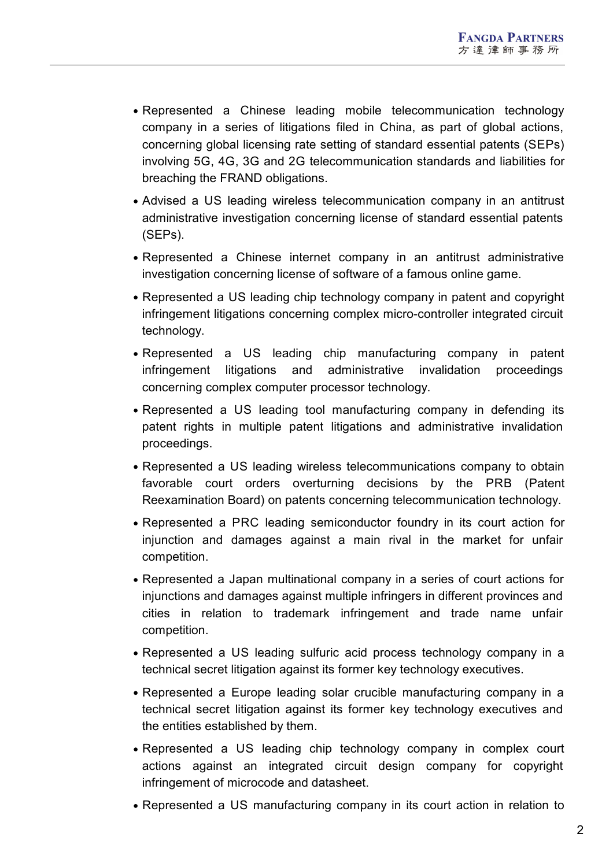- Represented a Chinese leading mobile telecommunication technology company in a series of litigations filed in China, as part of global actions, concerning global licensing rate setting of standard essential patents (SEPs) involving 5G, 4G, 3G and 2G telecommunication standards and liabilities for breaching the FRAND obligations.
- Advised a US leading wireless telecommunication company in an antitrust administrative investigation concerning license of standard essential patents (SEPs).
- Represented a Chinese internet company in an antitrust administrative investigation concerning license of software of a famous online game.
- Represented a US leading chip technology company in patent and copyright infringement litigations concerning complex micro-controller integrated circuit technology.
- Represented a US leading chip manufacturing company in patent infringement litigations and administrative invalidation proceedings concerning complex computer processor technology.
- Represented a US leading tool manufacturing company in defending its patent rights in multiple patent litigations and administrative invalidation proceedings.
- Represented a US leading wireless telecommunications company to obtain favorable court orders overturning decisions by the PRB (Patent Reexamination Board) on patents concerning telecommunication technology.
- Represented a PRC leading semiconductor foundry in its court action for injunction and damages against a main rival in the market for unfair competition.
- Represented a Japan multinational company in a series of court actions for injunctions and damages against multiple infringers in different provinces and cities in relation to trademark infringement and trade name unfair competition.
- Represented a US leading sulfuric acid process technology company in a technical secret litigation against its former key technology executives.
- Represented a Europe leading solar crucible manufacturing company in a technical secret litigation against its former key technology executives and the entities established by them.
- Represented a US leading chip technology company in complex court actions against an integrated circuit design company for copyright infringement of microcode and datasheet.
- Represented a US manufacturing company in its court action in relation to